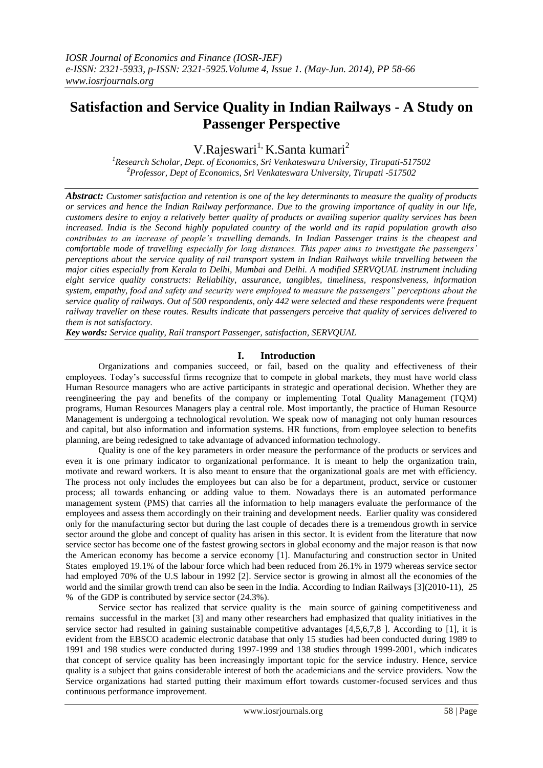# **Satisfaction and Service Quality in Indian Railways - A Study on Passenger Perspective**

V.Rajeswari<sup>1,</sup> K.Santa kumari<sup>2</sup>

*<sup>1</sup>Research Scholar, Dept. of Economics, Sri Venkateswara University, Tirupati-517502 <sup>2</sup>Professor, Dept of Economics, Sri Venkateswara University, Tirupati -517502*

*Abstract: Customer satisfaction and retention is one of the key determinants to measure the quality of products or services and hence the Indian Railway performance. Due to the growing importance of quality in our life, customers desire to enjoy a relatively better quality of products or availing superior quality services has been increased. India is the Second highly populated country of the world and its rapid population growth also contributes to an increase of people's travelling demands. In Indian Passenger trains is the cheapest and comfortable mode of travelling especially for long distances. This paper aims to investigate the passengers' perceptions about the service quality of rail transport system in Indian Railways while travelling between the major cities especially from Kerala to Delhi, Mumbai and Delhi. A modified SERVQUAL instrument including eight service quality constructs: Reliability, assurance, tangibles, timeliness, responsiveness, information system, empathy, food and safety and security were employed to measure the passengers" perceptions about the service quality of railways. Out of 500 respondents, only 442 were selected and these respondents were frequent railway traveller on these routes. Results indicate that passengers perceive that quality of services delivered to them is not satisfactory.*

*Key words: Service quality, Rail transport Passenger, satisfaction, SERVQUAL*

# **I. Introduction**

Organizations and companies succeed, or fail, based on the quality and effectiveness of their employees. Today"s successful firms recognize that to compete in global markets, they must have world class Human Resource managers who are active participants in strategic and operational decision. Whether they are reengineering the pay and benefits of the company or implementing Total Quality Management (TQM) programs, Human Resources Managers play a central role. Most importantly, the practice of Human Resource Management is undergoing a technological revolution. We speak now of managing not only human resources and capital, but also information and information systems. HR functions, from employee selection to benefits planning, are being redesigned to take advantage of advanced information technology.

Quality is one of the key parameters in order measure the performance of the products or services and even it is one primary indicator to organizational performance. It is meant to help the organization train, motivate and reward workers. It is also meant to ensure that the organizational goals are met with efficiency. The process not only includes the employees but can also be for a department, product, service or customer process; all towards enhancing or adding value to them. Nowadays there is an automated performance management system (PMS) that carries all the information to help managers evaluate the performance of the employees and assess them accordingly on their training and development needs. Earlier quality was considered only for the manufacturing sector but during the last couple of decades there is a tremendous growth in service sector around the globe and concept of quality has arisen in this sector. It is evident from the literature that now service sector has become one of the fastest growing sectors in global economy and the major reason is that now the American economy has become a service economy [1]. Manufacturing and construction sector in United States employed 19.1% of the labour force which had been reduced from 26.1% in 1979 whereas service sector had employed 70% of the U.S labour in 1992 [2]. Service sector is growing in almost all the economies of the world and the similar growth trend can also be seen in the India. According to Indian Railways [3](2010-11), 25 % of the GDP is contributed by service sector (24.3%).

Service sector has realized that service quality is the main source of gaining competitiveness and remains successful in the market [3] and many other researchers had emphasized that quality initiatives in the service sector had resulted in gaining sustainable competitive advantages [4,5,6,7,8 ]. According to [1], it is evident from the EBSCO academic electronic database that only 15 studies had been conducted during 1989 to 1991 and 198 studies were conducted during 1997-1999 and 138 studies through 1999-2001, which indicates that concept of service quality has been increasingly important topic for the service industry. Hence, service quality is a subject that gains considerable interest of both the academicians and the service providers. Now the Service organizations had started putting their maximum effort towards customer-focused services and thus continuous performance improvement.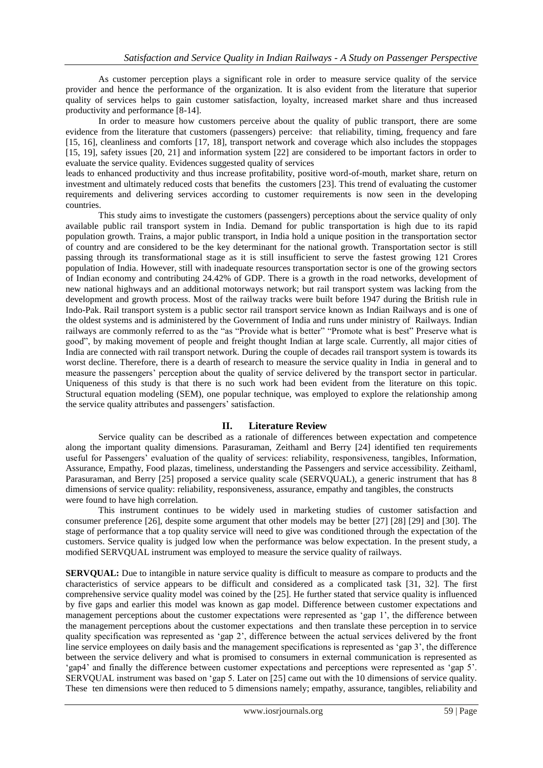As customer perception plays a significant role in order to measure service quality of the service provider and hence the performance of the organization. It is also evident from the literature that superior quality of services helps to gain customer satisfaction, loyalty, increased market share and thus increased productivity and performance [8-14].

In order to measure how customers perceive about the quality of public transport, there are some evidence from the literature that customers (passengers) perceive: that reliability, timing, frequency and fare [15, 16], cleanliness and comforts [17, 18], transport network and coverage which also includes the stoppages [15, 19], safety issues [20, 21] and information system [22] are considered to be important factors in order to evaluate the service quality. Evidences suggested quality of services

leads to enhanced productivity and thus increase profitability, positive word-of-mouth, market share, return on investment and ultimately reduced costs that benefits the customers [23]. This trend of evaluating the customer requirements and delivering services according to customer requirements is now seen in the developing countries.

This study aims to investigate the customers (passengers) perceptions about the service quality of only available public rail transport system in India. Demand for public transportation is high due to its rapid population growth. Trains, a major public transport, in India hold a unique position in the transportation sector of country and are considered to be the key determinant for the national growth. Transportation sector is still passing through its transformational stage as it is still insufficient to serve the fastest growing 121 Crores population of India. However, still with inadequate resources transportation sector is one of the growing sectors of Indian economy and contributing 24.42% of GDP. There is a growth in the road networks, development of new national highways and an additional motorways network; but rail transport system was lacking from the development and growth process. Most of the railway tracks were built before 1947 during the British rule in Indo-Pak. Rail transport system is a public sector rail transport service known as Indian Railways and is one of the oldest systems and is administered by the Government of India and runs under ministry of Railways. Indian railways are commonly referred to as the "as "Provide what is better" "Promote what is best" Preserve what is good", by making movement of people and freight thought Indian at large scale. Currently, all major cities of India are connected with rail transport network. During the couple of decades rail transport system is towards its worst decline. Therefore, there is a dearth of research to measure the service quality in India in general and to measure the passengers" perception about the quality of service delivered by the transport sector in particular. Uniqueness of this study is that there is no such work had been evident from the literature on this topic. Structural equation modeling (SEM), one popular technique, was employed to explore the relationship among the service quality attributes and passengers' satisfaction.

# **II. Literature Review**

Service quality can be described as a rationale of differences between expectation and competence along the important quality dimensions. Parasuraman, Zeithaml and Berry [24] identified ten requirements useful for Passengers" evaluation of the quality of services: reliability, responsiveness, tangibles, Information, Assurance, Empathy, Food plazas, timeliness, understanding the Passengers and service accessibility. Zeithaml, Parasuraman, and Berry [25] proposed a service quality scale (SERVQUAL), a generic instrument that has 8 dimensions of service quality: reliability, responsiveness, assurance, empathy and tangibles, the constructs were found to have high correlation.

This instrument continues to be widely used in marketing studies of customer satisfaction and consumer preference [26], despite some argument that other models may be better [27] [28] [29] and [30]. The stage of performance that a top quality service will need to give was conditioned through the expectation of the customers. Service quality is judged low when the performance was below expectation. In the present study, a modified SERVQUAL instrument was employed to measure the service quality of railways.

**SERVQUAL:** Due to intangible in nature service quality is difficult to measure as compare to products and the characteristics of service appears to be difficult and considered as a complicated task [31, 32]. The first comprehensive service quality model was coined by the [25]. He further stated that service quality is influenced by five gaps and earlier this model was known as gap model. Difference between customer expectations and management perceptions about the customer expectations were represented as "gap 1", the difference between the management perceptions about the customer expectations and then translate these perception in to service quality specification was represented as 'gap 2', difference between the actual services delivered by the front line service employees on daily basis and the management specifications is represented as "gap 3", the difference between the service delivery and what is promised to consumers in external communication is represented as "gap4" and finally the difference between customer expectations and perceptions were represented as "gap 5". SERVQUAL instrument was based on "gap 5. Later on [25] came out with the 10 dimensions of service quality. These ten dimensions were then reduced to 5 dimensions namely; empathy, assurance, tangibles, reliability and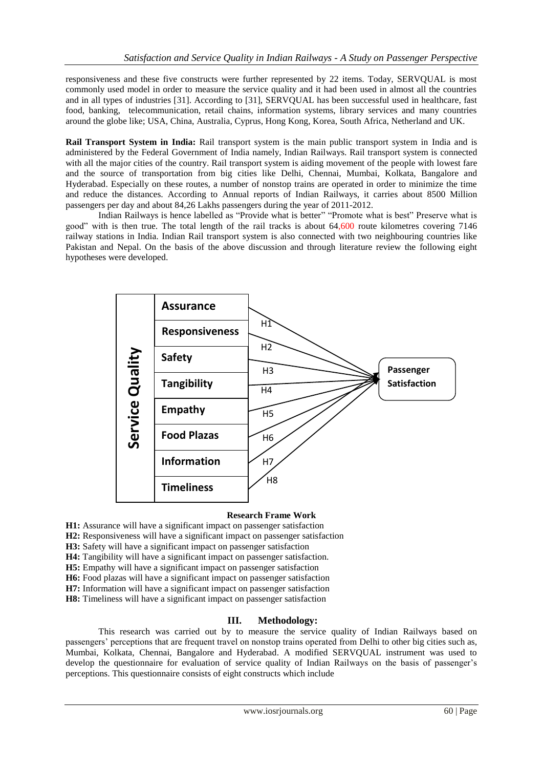responsiveness and these five constructs were further represented by 22 items. Today, SERVQUAL is most commonly used model in order to measure the service quality and it had been used in almost all the countries and in all types of industries [31]. According to [31], SERVQUAL has been successful used in healthcare, fast food, banking, telecommunication, retail chains, information systems, library services and many countries around the globe like; USA, China, Australia, Cyprus, Hong Kong, Korea, South Africa, Netherland and UK.

**Rail Transport System in India:** Rail transport system is the main public transport system in India and is administered by the Federal Government of India namely, Indian Railways. Rail transport system is connected with all the major cities of the country. Rail transport system is aiding movement of the people with lowest fare and the source of transportation from big cities like Delhi, Chennai, Mumbai, Kolkata, Bangalore and Hyderabad. Especially on these routes, a number of nonstop trains are operated in order to minimize the time and reduce the distances. According to Annual reports of Indian Railways, it carries about 8500 Million passengers per day and about 84,26 Lakhs passengers during the year of 2011-2012.

Indian Railways is hence labelled as "Provide what is better" "Promote what is best" Preserve what is good" with is then true. The total length of the rail tracks is about 64,600 route kilometres covering 7146 railway stations in India. Indian Rail transport system is also connected with two neighbouring countries like Pakistan and Nepal. On the basis of the above discussion and through literature review the following eight hypotheses were developed.



# **Research Frame Work**

- **H1:** Assurance will have a significant impact on passenger satisfaction
- **H2:** Responsiveness will have a significant impact on passenger satisfaction
- **H3:** Safety will have a significant impact on passenger satisfaction
- **H4:** Tangibility will have a significant impact on passenger satisfaction.
- **H5:** Empathy will have a significant impact on passenger satisfaction
- **H6:** Food plazas will have a significant impact on passenger satisfaction
- **H7:** Information will have a significant impact on passenger satisfaction
- **H8:** Timeliness will have a significant impact on passenger satisfaction

# **III. Methodology:**

This research was carried out by to measure the service quality of Indian Railways based on passengers" perceptions that are frequent travel on nonstop trains operated from Delhi to other big cities such as, Mumbai, Kolkata, Chennai, Bangalore and Hyderabad. A modified SERVQUAL instrument was used to develop the questionnaire for evaluation of service quality of Indian Railways on the basis of passenger's perceptions. This questionnaire consists of eight constructs which include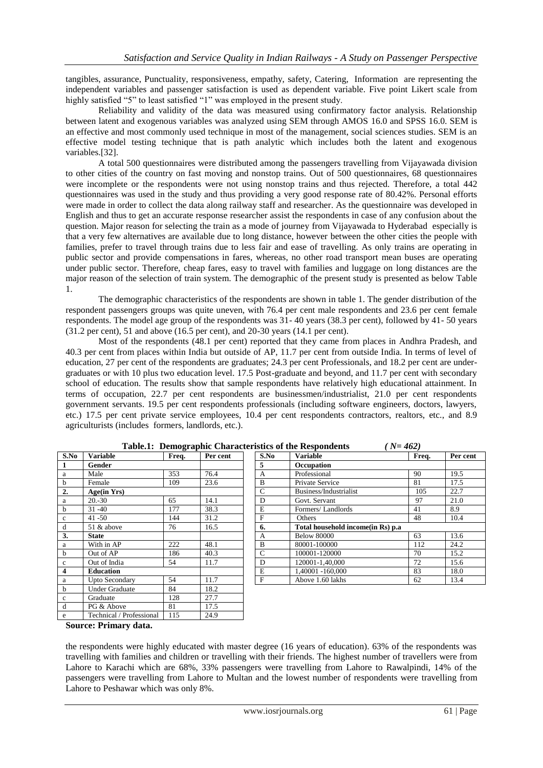tangibles, assurance, Punctuality, responsiveness, empathy, safety, Catering, Information are representing the independent variables and passenger satisfaction is used as dependent variable. Five point Likert scale from highly satisfied "5" to least satisfied "1" was employed in the present study.

Reliability and validity of the data was measured using confirmatory factor analysis. Relationship between latent and exogenous variables was analyzed using SEM through AMOS 16.0 and SPSS 16.0. SEM is an effective and most commonly used technique in most of the management, social sciences studies. SEM is an effective model testing technique that is path analytic which includes both the latent and exogenous variables.[32].

A total 500 questionnaires were distributed among the passengers travelling from Vijayawada division to other cities of the country on fast moving and nonstop trains. Out of 500 questionnaires, 68 questionnaires were incomplete or the respondents were not using nonstop trains and thus rejected. Therefore, a total 442 questionnaires was used in the study and thus providing a very good response rate of 80.42%. Personal efforts were made in order to collect the data along railway staff and researcher. As the questionnaire was developed in English and thus to get an accurate response researcher assist the respondents in case of any confusion about the question. Major reason for selecting the train as a mode of journey from Vijayawada to Hyderabad especially is that a very few alternatives are available due to long distance, however between the other cities the people with families, prefer to travel through trains due to less fair and ease of travelling. As only trains are operating in public sector and provide compensations in fares, whereas, no other road transport mean buses are operating under public sector. Therefore, cheap fares, easy to travel with families and luggage on long distances are the major reason of the selection of train system. The demographic of the present study is presented as below Table 1.

The demographic characteristics of the respondents are shown in table 1. The gender distribution of the respondent passengers groups was quite uneven, with 76.4 per cent male respondents and 23.6 per cent female respondents. The model age group of the respondents was 31- 40 years (38.3 per cent), followed by 41- 50 years (31.2 per cent), 51 and above (16.5 per cent), and 20-30 years (14.1 per cent).

Most of the respondents (48.1 per cent) reported that they came from places in Andhra Pradesh, and 40.3 per cent from places within India but outside of AP, 11.7 per cent from outside India. In terms of level of education, 27 per cent of the respondents are graduates; 24.3 per cent Professionals, and 18.2 per cent are undergraduates or with 10 plus two education level. 17.5 Post-graduate and beyond, and 11.7 per cent with secondary school of education. The results show that sample respondents have relatively high educational attainment. In terms of occupation, 22.7 per cent respondents are businessmen/industrialist, 21.0 per cent respondents government servants. 19.5 per cent respondents professionals (including software engineers, doctors, lawyers, etc.) 17.5 per cent private service employees, 10.4 per cent respondents contractors, realtors, etc., and 8.9 agriculturists (includes formers, landlords, etc.).

|                         |                          | - - - - |          |                |                                   |
|-------------------------|--------------------------|---------|----------|----------------|-----------------------------------|
| S.No                    | <b>Variable</b>          | Freq.   | Per cent | S.No           | <b>Variable</b>                   |
| 1                       | Gender                   |         |          | 5              | Occupation                        |
| a                       | Male                     | 353     | 76.4     | $\overline{A}$ | Professional                      |
| $\mathbf b$             | Female                   | 109     | 23.6     | $\overline{B}$ | Private Service                   |
| 2.                      | Age(in Yrs)              |         |          | $\mathbf C$    | Business/Industrialist            |
| a                       | $20.-30$                 | 65      | 14.1     | D              | Govt. Servant                     |
| $\mathbf b$             | $31 - 40$                | 177     | 38.3     | E              | Formers/Landlords                 |
| $\mathbf{c}$            | $41 - 50$                | 144     | 31.2     | $\overline{F}$ | <b>Others</b>                     |
| d                       | 51 & above               | 76      | 16.5     | 6.             | Total household income(in Rs) p.a |
| 3.                      | <b>State</b>             |         |          | $\overline{A}$ | <b>Below 80000</b>                |
| a                       | With in AP               | 222     | 48.1     | B              | 80001-100000                      |
| $\mathbf b$             | Out of AP                | 186     | 40.3     | $\mathbf C$    | 100001-120000                     |
| $\mathbf c$             | Out of India             | 54      | 11.7     | D              | 120001-1.40.000                   |
| $\overline{\mathbf{4}}$ | <b>Education</b>         |         |          | E              | 1.40001 -160.000                  |
| a                       | <b>Upto Secondary</b>    | 54      | 11.7     | $\mathbf F$    | Above 1.60 lakhs                  |
| $\mathbf b$             | <b>Under Graduate</b>    | 84      | 18.2     |                |                                   |
| $\mathbf{c}$            | Graduate                 | 128     | 27.7     |                |                                   |
| d                       | PG & Above               | 81      | 17.5     |                |                                   |
| e                       | Technical / Professional | 115     | 24.9     |                |                                   |

|  |  | Table.1: Demographic Characteristics of the Respondents |  |  |  | $(N=462)$ |
|--|--|---------------------------------------------------------|--|--|--|-----------|
|--|--|---------------------------------------------------------|--|--|--|-----------|

| S.No | <b>Variable</b>       | Freq. | Per cent | S.No          | <b>Variable</b>                     | Freq. | Per cent |
|------|-----------------------|-------|----------|---------------|-------------------------------------|-------|----------|
|      | Gender                |       |          | 5             | Occupation                          |       |          |
| a    | Male                  | 353   | 76.4     | А             | Professional                        | 90    | 19.5     |
| b    | Female                | 109   | 23.6     | B             | Private Service                     | 81    | 17.5     |
| 2.   | Age(in Yrs)           |       |          | $\mathcal{C}$ | Business/Industrialist              | 105   | 22.7     |
| a    | $20.-30$              | 65    | 14.1     | D             | Govt. Servant                       | 97    | 21.0     |
| b    | $31 - 40$             | 177   | 38.3     | E             | Formers/Landlords                   | 41    | 8.9      |
| c    | $41 - 50$             | 144   | 31.2     | F             | Others                              | 48    | 10.4     |
| d    | 51 & above            | 76    | 16.5     | 6.            | Total household income (in Rs) p.a. |       |          |
| 3.   | <b>State</b>          |       |          | А             | <b>Below 80000</b>                  | 63    | 13.6     |
| a    | With in AP            | 222   | 48.1     | B             | 80001-100000                        | 112   | 24.2     |
| b    | Out of AP             | 186   | 40.3     | $\mathcal{C}$ | 100001-120000                       | 70    | 15.2     |
| c.   | Out of India          | 54    | 11.7     | D             | 120001-1,40,000                     | 72    | 15.6     |
| 4    | <b>Education</b>      |       |          | E             | 1,40001 -160,000                    | 83    | 18.0     |
| a    | <b>Upto Secondary</b> | 54    | 11.7     | F             | Above 1.60 lakhs                    | 62    | 13.4     |
|      |                       |       |          |               |                                     |       |          |

**Source: Primary data.**

the respondents were highly educated with master degree (16 years of education). 63% of the respondents was travelling with families and children or travelling with their friends. The highest number of travellers were from Lahore to Karachi which are 68%, 33% passengers were travelling from Lahore to Rawalpindi, 14% of the passengers were travelling from Lahore to Multan and the lowest number of respondents were travelling from Lahore to Peshawar which was only 8%.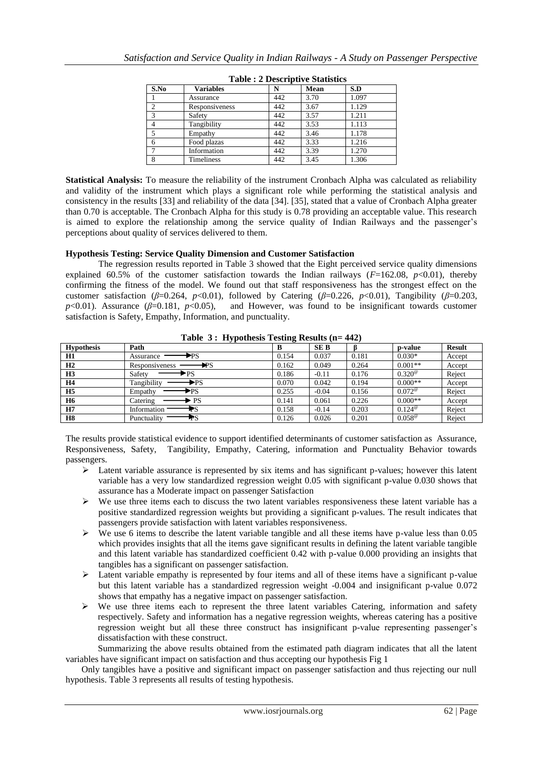| S.No | <b>Variables</b>  |     | Mean | S.D   |
|------|-------------------|-----|------|-------|
|      | Assurance         | 442 | 3.70 | 1.097 |
|      | Responsiveness    | 442 | 3.67 | 1.129 |
|      | Safety            | 442 | 3.57 | 1.211 |
|      | Tangibility       | 442 | 3.53 | 1.113 |
|      | Empathy           | 442 | 3.46 | 1.178 |
|      | Food plazas       | 442 | 3.33 | 1.216 |
|      | Information       | 442 | 3.39 | 1.270 |
|      | <b>Timeliness</b> | 442 | 3.45 | 1.306 |

|  | <b>Table: 2 Descriptive Statistics</b> |  |
|--|----------------------------------------|--|
|  |                                        |  |

**Statistical Analysis:** To measure the reliability of the instrument Cronbach Alpha was calculated as reliability and validity of the instrument which plays a significant role while performing the statistical analysis and consistency in the results [33] and reliability of the data [34]. [35], stated that a value of Cronbach Alpha greater than 0.70 is acceptable. The Cronbach Alpha for this study is 0.78 providing an acceptable value. This research is aimed to explore the relationship among the service quality of Indian Railways and the passenger"s perceptions about quality of services delivered to them.

# **Hypothesis Testing: Service Quality Dimension and Customer Satisfaction**

The regression results reported in Table 3 showed that the Eight perceived service quality dimensions explained 60.5% of the customer satisfaction towards the Indian railways  $(F=162.08, p<0.01)$ , thereby confirming the fitness of the model. We found out that staff responsiveness has the strongest effect on the customer satisfaction ( $\beta$ =0.264,  $p$ <0.01), followed by Catering ( $\beta$ =0.226,  $p$ <0.01), Tangibility ( $\beta$ =0.203, *p*<0.01). Assurance (*β*=0.181, *p*<0.05), and However, was found to be insignificant towards customer satisfaction is Safety, Empathy, Information, and punctuality.

|                   | --, r - --- <i>-</i>                  |       |            |       |                  |               |
|-------------------|---------------------------------------|-------|------------|-------|------------------|---------------|
| <b>Hypothesis</b> | Path                                  |       | <b>SEB</b> |       | p-value          | <b>Result</b> |
| <b>H1</b>         | $\blacktriangleright$ PS<br>Assurance | 0.154 | 0.037      | 0.181 | $0.030*$         | Accept        |
| H2                | ÞPS<br>Responsiveness                 | 0.162 | 0.049      | 0.264 | $0.001**$        | Accept        |
| H3                | $\blacktriangleright$ PS<br>Safety    | 0.186 | $-0.11$    | 0.176 | $0.320^{\circ}$  | Reject        |
| <b>H4</b>         | Tangibility<br>≻PS                    | 0.070 | 0.042      | 0.194 | $0.000**$        | Accept        |
| H <sub>5</sub>    | $\blacktriangleright$ PS<br>Empathy   | 0.255 | $-0.04$    | 0.156 | $0.072^{\omega}$ | Reject        |
| <b>H6</b>         | <b>PS</b><br>Catering                 | 0.141 | 0.061      | 0.226 | $0.000**$        | Accept        |
| H7                | ₩S<br>Information                     | 0.158 | $-0.14$    | 0.203 | $0.124^{\omega}$ | Reject        |
| <b>H8</b>         | Punctuality<br>ФS                     | 0.126 | 0.026      | 0.201 | $0.058^{\omega}$ | Reject        |

**Table 3 : Hypothesis Testing Results (n= 442)** 

The results provide statistical evidence to support identified determinants of customer satisfaction as Assurance, Responsiveness, Safety, Tangibility, Empathy, Catering, information and Punctuality Behavior towards passengers.

- $\triangleright$  Latent variable assurance is represented by six items and has significant p-values; however this latent variable has a very low standardized regression weight 0.05 with significant p-value 0.030 shows that assurance has a Moderate impact on passenger Satisfaction
- $\triangleright$  We use three items each to discuss the two latent variables responsiveness these latent variable has a positive standardized regression weights but providing a significant p-values. The result indicates that passengers provide satisfaction with latent variables responsiveness.
- $\triangleright$  We use 6 items to describe the latent variable tangible and all these items have p-value less than 0.05 which provides insights that all the items gave significant results in defining the latent variable tangible and this latent variable has standardized coefficient 0.42 with p-value 0.000 providing an insights that tangibles has a significant on passenger satisfaction.
- $\triangleright$  Latent variable empathy is represented by four items and all of these items have a significant p-value but this latent variable has a standardized regression weight -0.004 and insignificant p-value 0.072 shows that empathy has a negative impact on passenger satisfaction.
- $\triangleright$  We use three items each to represent the three latent variables Catering, information and safety respectively. Safety and information has a negative regression weights, whereas catering has a positive regression weight but all these three construct has insignificant p-value representing passenger"s dissatisfaction with these construct.

Summarizing the above results obtained from the estimated path diagram indicates that all the latent variables have significant impact on satisfaction and thus accepting our hypothesis Fig 1

Only tangibles have a positive and significant impact on passenger satisfaction and thus rejecting our null hypothesis. Table 3 represents all results of testing hypothesis.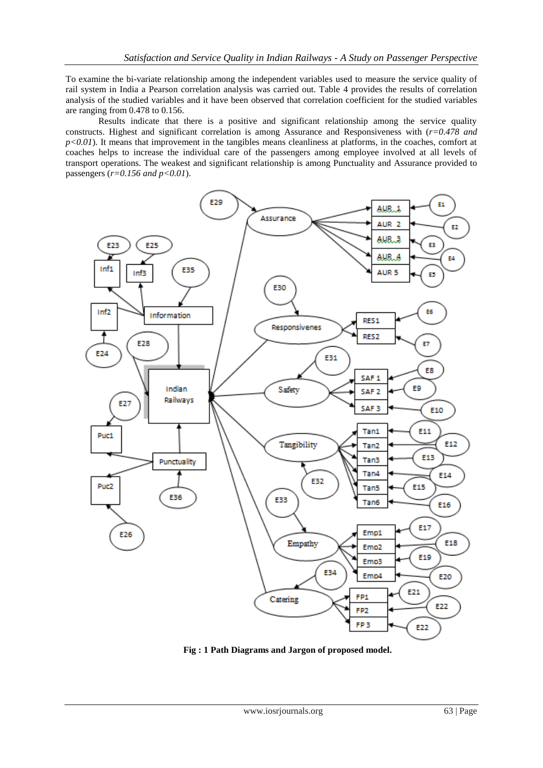To examine the bi-variate relationship among the independent variables used to measure the service quality of rail system in India a Pearson correlation analysis was carried out. Table 4 provides the results of correlation analysis of the studied variables and it have been observed that correlation coefficient for the studied variables are ranging from 0.478 to 0.156.

Results indicate that there is a positive and significant relationship among the service quality constructs. Highest and significant correlation is among Assurance and Responsiveness with (*r=0.478 and*   $p<0.01$ ). It means that improvement in the tangibles means cleanliness at platforms, in the coaches, comfort at coaches helps to increase the individual care of the passengers among employee involved at all levels of transport operations. The weakest and significant relationship is among Punctuality and Assurance provided to passengers (*r=0.156 and p<0.01*).



**Fig : 1 Path Diagrams and Jargon of proposed model.**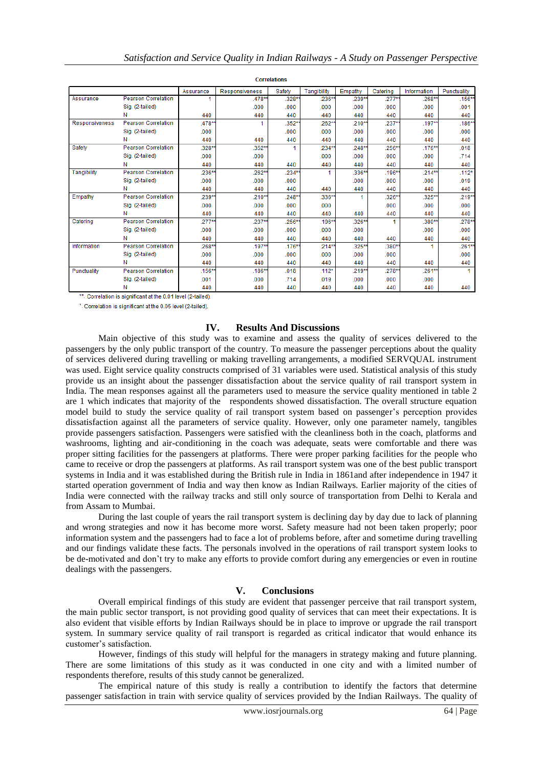| <b>Correlations</b>   |                            |           |                       |          |             |          |          |             |             |
|-----------------------|----------------------------|-----------|-----------------------|----------|-------------|----------|----------|-------------|-------------|
|                       |                            | Assurance | <b>Responsiveness</b> | Safety   | Tangibility | Empathy  | Catering | Information | Punctuality |
| Assurance             | <b>Pearson Correlation</b> | 1.        | .478**                | .328*    | .236**      | .239**   | $.277**$ | 268**       | $.156**$    |
|                       | Sig. (2-tailed)            |           | .000                  | .000     | .000        | .000     | .000     | .000        | .001        |
|                       | N                          | 440       | 440                   | 440      | 440         | 440      | 440      | 440         | 440         |
| <b>Responsiveness</b> | <b>Pearson Correlation</b> | .478*     | 1                     | .352*    | .262**      | $.210**$ | $.237**$ | $.197***$   | $.186**$    |
|                       | Sig. (2-tailed)            | .000      |                       | .000     | .000        | .000     | .000     | .000        | .000        |
|                       | Ν                          | 440       | 440                   | 440      | 440         | 440      | 440      | 440         | 440         |
| Safety                | <b>Pearson Correlation</b> | .328**    | .352*                 | 1        | $.234**$    | .248**   | .256**   | .176**      | .018        |
|                       | Sig. (2-tailed)            | .000      | .000                  |          | .000        | .000     | .000     | .000        | .714        |
|                       | N                          | 440       | 440                   | 440      | 440         | 440      | 440      | 440         | 440         |
| Tangibility           | <b>Pearson Correlation</b> | 236**     | .262**                | .234**   |             | .336**   | .196**   | $214**$     | $.112*$     |
|                       | Sig. (2-tailed)            | .000      | .000                  | .000     |             | .000     | .000     | .000        | .019        |
|                       | N                          | 440       | 440                   | 440      | 440         | 440      | 440      | 440         | 440         |
| Empathy               | <b>Pearson Correlation</b> | 239*      | $.210**$              | .248*    | .336**      |          | .326*    | .325**      | $.219*$     |
|                       | Sig. (2-tailed)            | .000      | .000                  | .000     | .000        |          | .000     | .000        | .000        |
|                       | Ν                          | 440       | 440                   | 440      | 440         | 440      | 440      | 440         | 440         |
| Catering              | <b>Pearson Correlation</b> | $.277**$  | .237**                | .256**   | .196**      | .326**   |          | .380**      | .278*       |
|                       | Sig. (2-tailed)            | .000      | .000                  | .000     | .000        | .000     |          | .000        | .000        |
|                       | Ν                          | 440       | 440                   | 440      | 440         | 440      | 440      | 440         | 440         |
| Information           | <b>Pearson Correlation</b> | .268**    | $.197**$              | $.176**$ | $.214**$    | .325**   | .380*    | 1           | $.261*$     |
|                       | Sig. (2-tailed)            | .000      | .000                  | .000     | .000        | .000     | .000     |             | .000        |
|                       | N                          | 440       | 440                   | 440      | 440         | 440      | 440      | 440         | 440         |
| Punctuality           | <b>Pearson Correlation</b> | .156**    | $.186**$              | .018     | $.112*$     | .219**   | .278**   | 261**       |             |
|                       | Sig. (2-tailed)            | .001      | .000                  | .714     | .019        | .000     | .000     | .000        |             |
|                       | Ν                          | 440       | 440                   | 440      | 440         | 440      | 440      | 440         | 440         |

\*\*. Correlation is significant at the 0.01 level (2-tailed).

\*. Correlation is significant at the 0.05 level (2-tailed).

#### **IV. Results And Discussions**

Main objective of this study was to examine and assess the quality of services delivered to the passengers by the only public transport of the country. To measure the passenger perceptions about the quality of services delivered during travelling or making travelling arrangements, a modified SERVQUAL instrument was used. Eight service quality constructs comprised of 31 variables were used. Statistical analysis of this study provide us an insight about the passenger dissatisfaction about the service quality of rail transport system in India. The mean responses against all the parameters used to measure the service quality mentioned in table 2 are 1 which indicates that majority of the respondents showed dissatisfaction. The overall structure equation model build to study the service quality of rail transport system based on passenger"s perception provides dissatisfaction against all the parameters of service quality. However, only one parameter namely, tangibles provide passengers satisfaction. Passengers were satisfied with the cleanliness both in the coach, platforms and washrooms, lighting and air-conditioning in the coach was adequate, seats were comfortable and there was proper sitting facilities for the passengers at platforms. There were proper parking facilities for the people who came to receive or drop the passengers at platforms. As rail transport system was one of the best public transport systems in India and it was established during the British rule in India in 1861and after independence in 1947 it started operation government of India and way then know as Indian Railways. Earlier majority of the cities of India were connected with the railway tracks and still only source of transportation from Delhi to Kerala and from Assam to Mumbai.

During the last couple of years the rail transport system is declining day by day due to lack of planning and wrong strategies and now it has become more worst. Safety measure had not been taken properly; poor information system and the passengers had to face a lot of problems before, after and sometime during travelling and our findings validate these facts. The personals involved in the operations of rail transport system looks to be de-motivated and don"t try to make any efforts to provide comfort during any emergencies or even in routine dealings with the passengers.

#### **V. Conclusions**

Overall empirical findings of this study are evident that passenger perceive that rail transport system, the main public sector transport, is not providing good quality of services that can meet their expectations. It is also evident that visible efforts by Indian Railways should be in place to improve or upgrade the rail transport system. In summary service quality of rail transport is regarded as critical indicator that would enhance its customer"s satisfaction.

However, findings of this study will helpful for the managers in strategy making and future planning. There are some limitations of this study as it was conducted in one city and with a limited number of respondents therefore, results of this study cannot be generalized.

The empirical nature of this study is really a contribution to identify the factors that determine passenger satisfaction in train with service quality of services provided by the Indian Railways*.* The quality of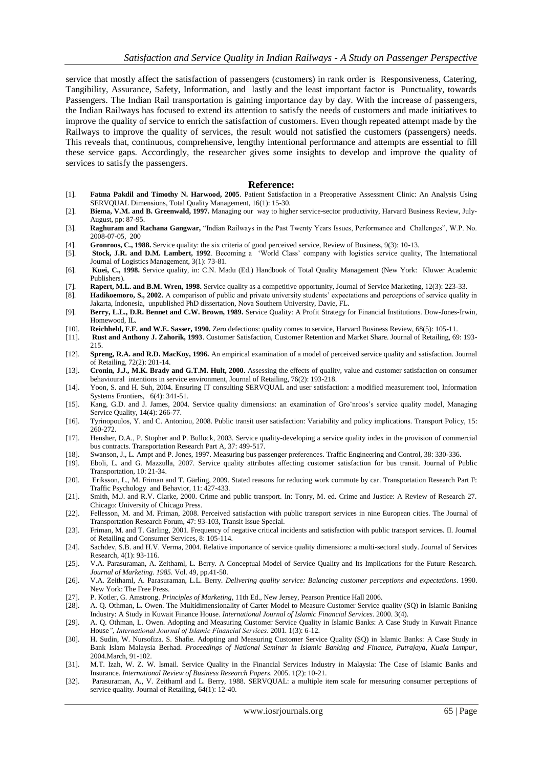service that mostly affect the satisfaction of passengers (customers) in rank order is Responsiveness, Catering, Tangibility, Assurance, Safety, Information, and lastly and the least important factor is Punctuality, towards Passengers. The Indian Rail transportation is gaining importance day by day. With the increase of passengers, the Indian Railways has focused to extend its attention to satisfy the needs of customers and made initiatives to improve the quality of service to enrich the satisfaction of customers. Even though repeated attempt made by the Railways to improve the quality of services, the result would not satisfied the customers (passengers) needs. This reveals that, continuous, comprehensive, lengthy intentional performance and attempts are essential to fill these service gaps. Accordingly, the researcher gives some insights to develop and improve the quality of services to satisfy the passengers.

#### **Reference:**

- [1]. **Fatma Pakdil and Timothy N. Harwood, 2005**. Patient Satisfaction in a Preoperative Assessment Clinic: An Analysis Using SERVQUAL Dimensions, Total Quality Management, 16(1): 15-30.
- [2]. **Biema, V.M. and B. Greenwald, 1997.** Managing our way to higher service-sector productivity, Harvard Business Review, July-August, pp: 87-95.
- [3]. **Raghuram and Rachana Gangwar,** "Indian Railways in the Past Twenty Years Issues, Performance and Challenges", W.P. No. 2008-07-05, 200
- [4]. **Gronroos, C., 1988.** Service quality: the six criteria of good perceived service, Review of Business, 9(3): 10-13.
- [5]. **Stock, J.R. and D.M. Lambert, 1992**. Becoming a "World Class" company with logistics service quality, The International Journal of Logistics Management, 3(1): 73-81.
- [6]. **Kuei, C., 1998.** Service quality, in: C.N. Madu (Ed.) Handbook of Total Quality Management (New York: Kluwer Academic Publishers).
- [7]. **Rapert, M.L. and B.M. Wren, 1998.** Service quality as a competitive opportunity, Journal of Service Marketing, 12(3): 223-33. Hadikoemoro, S., 2002. A comparison of public and private university students' expectations and perceptions of service quality in
- Jakarta, Indonesia, unpublished PhD dissertation, Nova Southern University, Davie, FL.
- [9]. **Berry, L.L., D.R. Bennet and C.W. Brown, 1989.** Service Quality: A Profit Strategy for Financial Institutions. Dow-Jones-Irwin, Homewood, IL.
- [10]. **Reichheld, F.F. and W.E. Sasser, 1990.** Zero defections: quality comes to service, Harvard Business Review, 68(5): 105-11.
- [11]. **Rust and Anthony J. Zahorik, 1993**. Customer Satisfaction, Customer Retention and Market Share. Journal of Retailing, 69: 193- 215.
- [12]. **Spreng, R.A. and R.D. MacKoy, 1996.** An empirical examination of a model of perceived service quality and satisfaction. Journal of Retailing, 72(2): 201-14.
- [13]. **Cronin, J.J., M.K. Brady and G.T.M. Hult, 2000**. Assessing the effects of quality, value and customer satisfaction on consumer behavioural intentions in service environment, Journal of Retailing, 76(2): 193-218.
- [14]. Yoon, S. and H. Suh, 2004. Ensuring IT consulting SERVQUAL and user satisfaction: a modified measurement tool, Information Systems Frontiers, 6(4): 341-51.
- [15]. Kang, G.D. and J. James, 2004. Service quality dimensions: an examination of Gro"nroos's service quality model, Managing Service Quality, 14(4): 266-77.
- [16]. Tyrinopoulos, Y. and C. Antoniou, 2008. Public transit user satisfaction: Variability and policy implications. Transport Policy, 15: 260-272.
- [17]. Hensher, D.A., P. Stopher and P. Bullock, 2003. Service quality-developing a service quality index in the provision of commercial bus contracts. Transportation Research Part A, 37: 499-517.
- [18]. Swanson, J., L. Ampt and P. Jones, 1997. Measuring bus passenger preferences. Traffic Engineering and Control, 38: 330-336.
- [19]. Eboli, L. and G. Mazzulla, 2007. Service quality attributes affecting customer satisfaction for bus transit. Journal of Public Transportation, 10: 21-34.
- [20]. Eriksson, L., M. Friman and T. Gärling, 2009. Stated reasons for reducing work commute by car. Transportation Research Part F: Traffic Psychology and Behavior, 11: 427-433.
- [21]. Smith, M.J. and R.V. Clarke, 2000. Crime and public transport. In: Tonry, M. ed. Crime and Justice: A Review of Research 27. Chicago: University of Chicago Press.
- [22]. Fellesson, M. and M. Friman, 2008. Perceived satisfaction with public transport services in nine European cities. The Journal of Transportation Research Forum, 47: 93-103, Transit Issue Special.
- [23]. Friman, M. and T. Gärling, 2001. Frequency of negative critical incidents and satisfaction with public transport services. II. Journal of Retailing and Consumer Services, 8: 105-114.
- [24]. Sachdev, S.B. and H.V. Verma, 2004. Relative importance of service quality dimensions: a multi-sectoral study. Journal of Services Research, 4(1): 93-116.
- [25]. V.A. Parasuraman, A. Zeithaml, L. Berry. A Conceptual Model of Service Quality and Its Implications for the Future Research. *Journal of Marketing. 1985.* Vol. 49, pp.41-50.
- [26]. V.A. Zeithaml, A. Parasuraman, L.L. Berry. *Delivering quality service: Balancing customer perceptions and expectations*. 1990. New York: The Free Press.
- [27]. P. Kotler, G. Amstrong. *Principles of Marketing*, 11th Ed., New Jersey, Pearson Prentice Hall 2006.
- [28]. A. Q. Othman, L. Owen. The Multidimensionality of Carter Model to Measure Customer Service quality (SQ) in Islamic Banking Industry: A Study in Kuwait Finance House. *International Journal of Islamic Financial Services*. 2000. 3(4).
- [29]. A. Q. Othman, L. Owen. Adopting and Measuring Customer Service Quality in Islamic Banks: A Case Study in Kuwait Finance House*", International Journal of Islamic Financial Services.* 2001*.* 1(3): 6-12.
- [30]. H. Sudin, W. Nursofiza. S. Shafie. Adopting and Measuring Customer Service Quality (SQ) in Islamic Banks: A Case Study in Bank Islam Malaysia Berhad. *Proceedings of National Seminar in Islamic Banking and Finance, Putrajaya, Kuala Lumpur*, 2004.March, 91-102.
- [31]. M.T. Izah, W. Z. W. Ismail. Service Quality in the Financial Services Industry in Malaysia: The Case of Islamic Banks and Insurance. *International Review of Business Research Papers*. 2005. 1(2): 10-21.
- [32]. Parasuraman, A., V. Zeithaml and L. Berry, 1988. SERVQUAL: a multiple item scale for measuring consumer perceptions of service quality. Journal of Retailing, 64(1): 12-40.